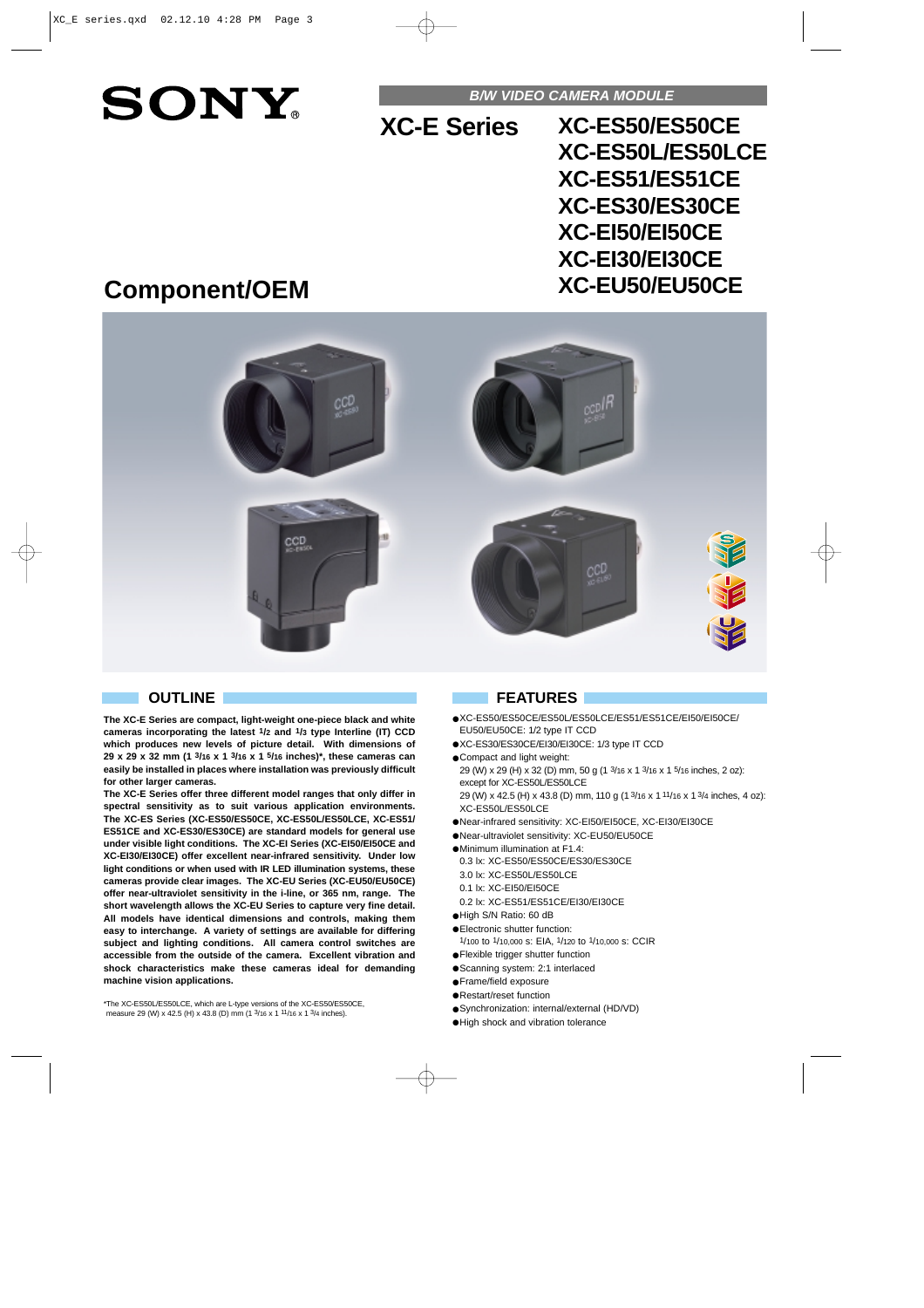# **SONY**

**B/W VIDEO CAMERA MODULE**

**XC-E Series**

**XC-ES50/ES50CE XC-ES50L/ES50LCE XC-ES51/ES51CE XC-ES30/ES30CE XC-EI50/EI50CE XC-EI30/EI30CE XC-EU50/EU50CE**

## **Component/OEM**



**The XC-E Series are compact, light-weight one-piece black and white cameras incorporating the latest 1/2 and 1/3 type Interline (IT) CCD which produces new levels of picture detail. With dimensions of 29 x 29 x 32 mm (1 3/16 x 1 3/16 x 1 5/16 inches)\*, these cameras can easily be installed in places where installation was previously difficult for other larger cameras.** 

**The XC-E Series offer three different model ranges that only differ in spectral sensitivity as to suit various application environments. The XC-ES Series (XC-ES50/ES50CE, XC-ES50L/ES50LCE, XC-ES51/ ES51CE and XC-ES30/ES30CE) are standard models for general use under visible light conditions. The XC-EI Series (XC-EI50/EI50CE and XC-EI30/EI30CE) offer excellent near-infrared sensitivity. Under low light conditions or when used with IR LED illumination systems, these cameras provide clear images. The XC-EU Series (XC-EU50/EU50CE) offer near-ultraviolet sensitivity in the i-line, or 365 nm, range. The short wavelength allows the XC-EU Series to capture very fine detail. All models have identical dimensions and controls, making them easy to interchange. A variety of settings are available for differing subject and lighting conditions. All camera control switches are accessible from the outside of the camera. Excellent vibration and shock characteristics make these cameras ideal for demanding machine vision applications.**

\*The XC-ES50L/ES50LCE, which are L-type versions of the XC-ES50/ES50CE, measure 29 (W) x 42.5 (H) x 43.8 (D) mm (1 3/16 x 1 11/16 x 1 3/4 inches).

#### **OUTLINE FEATURES**

- ●XC-ES50/ES50CE/ES50L/ES50LCE/ES51/ES51CE/EI50/EI50CE/ EU50/EU50CE: 1/2 type IT CCD
- ●XC-ES30/ES30CE/EI30/EI30CE: 1/3 type IT CCD
- Compact and light weight: 29 (W) x 29 (H) x 32 (D) mm, 50 g (1 3/16 x 1 3/16 x 1 5/16 inches, 2 oz): except for XC-ES50L/ES50LCE 29 (W) x 42.5 (H) x 43.8 (D) mm, 110 g (1 3/16 x 1 11/16 x 1 3/4 inches, 4 oz): XC-ES50L/ES50LCE
- ●Near-infrared sensitivity: XC-EI50/EI50CE, XC-EI30/EI30CE
- ●Near-ultraviolet sensitivity: XC-EU50/EU50CE
- ●Minimum illumination at F1.4:
	- 0.3 lx: XC-ES50/ES50CE/ES30/ES30CE
	- 3.0 lx: XC-ES50L/ES50LCE
- 0.1 lx: XC-EI50/EI50CE
- 0.2 lx: XC-ES51/ES51CE/EI30/EI30CE
- ●High S/N Ratio: 60 dB
- ●Electronic shutter function:
- 1/100 to 1/10,000 s: EIA, 1/120 to 1/10,000 s: CCIR
- ●Flexible trigger shutter function
- ●Scanning system: 2:1 interlaced ●Frame/field exposure
- ●Restart/reset function
- 
- ●Synchronization: internal/external (HD/VD)
- ●High shock and vibration tolerance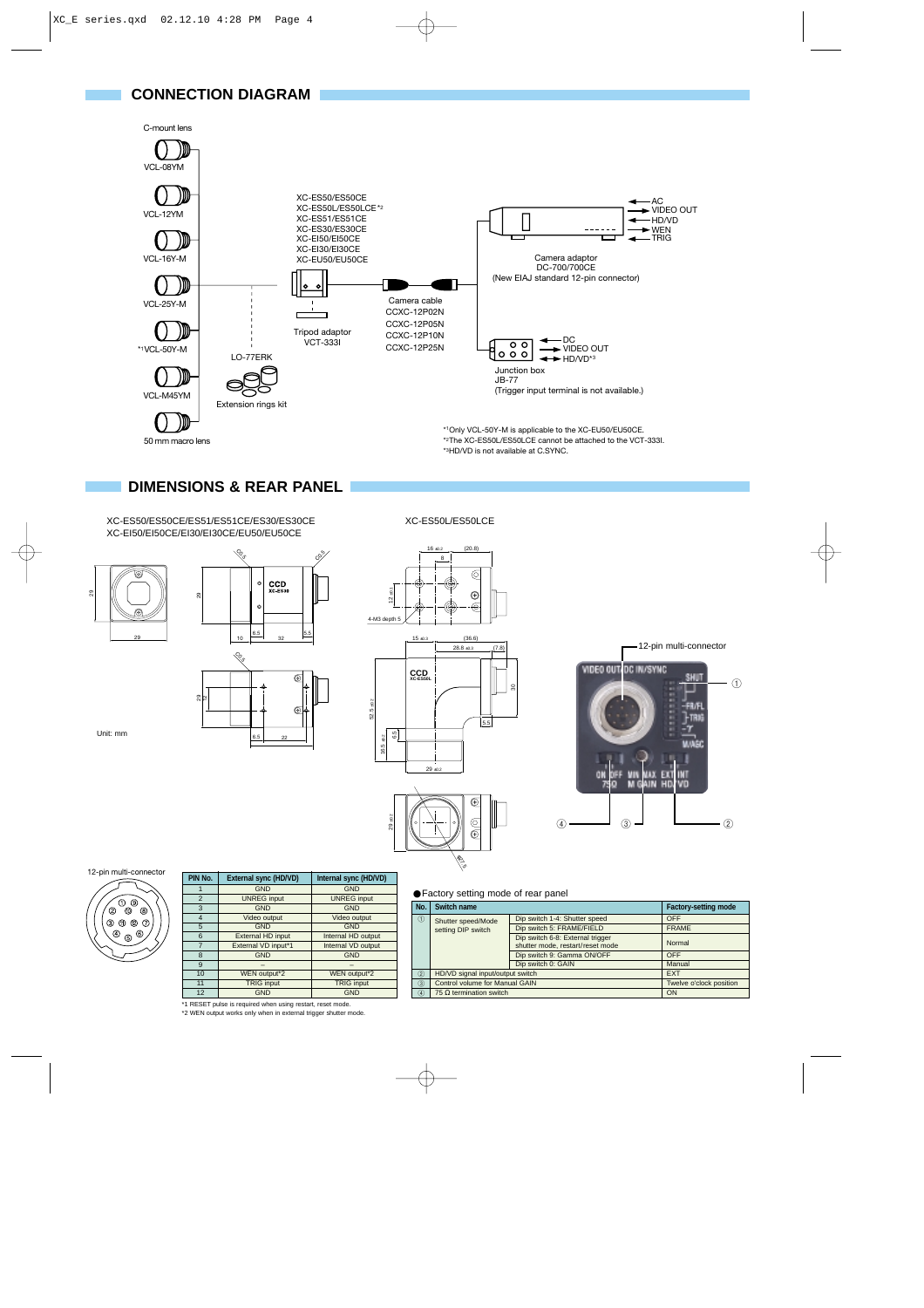

#### **DIMENSIONS & REAR PANEL**

C0.5

XC-ES50/ES50CE/ES51/ES51CE/ES30/ES30CE XC-EI50/EI50CE/EI30/EI30CE/EU50/EU50CE





 $10 \frac{6.5}{ }$ 

X

 $_{\text{xc}}^{\text{CCD}}$ 

c%

XC-ES50L/ES50LCE

 $(20.8)$ 

 $\circledcirc$ 







Unit: mm



| PIN No.        | External sync (HD/VD) | Internal sync (HD/VD) |
|----------------|-----------------------|-----------------------|
|                | <b>GND</b>            | <b>GND</b>            |
| $\overline{2}$ | <b>UNREG</b> input    | <b>UNREG</b> input    |
| 3              | <b>GND</b>            | <b>GND</b>            |
| $\overline{4}$ | Video output          | Video output          |
| 5              | <b>GND</b>            | <b>GND</b>            |
| 6              | External HD input     | Internal HD output    |
| 7              | External VD input*1   | Internal VD output    |
| 8              | <b>GND</b>            | <b>GND</b>            |
| 9              |                       |                       |
| 10             | WEN output*2          | WEN output*2          |
| 11             | <b>TRIG</b> input     | <b>TRIG input</b>     |
| 12             | <b>GND</b>            | <b>GND</b>            |

\*1 RESET pulse is required when using restart, reset mode. \*2 WEN output works only when in external trigger shutter mode.

#### ●Factory setting mode of rear panel

م<br>مجمع<br>م

| No.            | Switch name                      | <b>Factory-setting mode</b>                                          |              |  |
|----------------|----------------------------------|----------------------------------------------------------------------|--------------|--|
| $\circ$        | Shutter speed/Mode               | Dip switch 1-4: Shutter speed                                        | <b>OFF</b>   |  |
|                | setting DIP switch               | Dip switch 5: FRAME/FIELD                                            | <b>FRAME</b> |  |
|                |                                  | Dip switch 6-8: External trigger<br>shutter mode, restart/reset mode | Normal       |  |
|                |                                  | Dip switch 9: Gamma ON/OFF                                           | OFF          |  |
|                |                                  | Dip switch 0: GAIN                                                   | Manual       |  |
| $\circled{2}$  | HD/VD signal input/output switch | <b>EXT</b>                                                           |              |  |
| $\circled{3}$  | Control volume for Manual GAIN   | Twelve o'clock position                                              |              |  |
| $\overline{4}$ | 75 $\Omega$ termination switch   | ON                                                                   |              |  |

# 8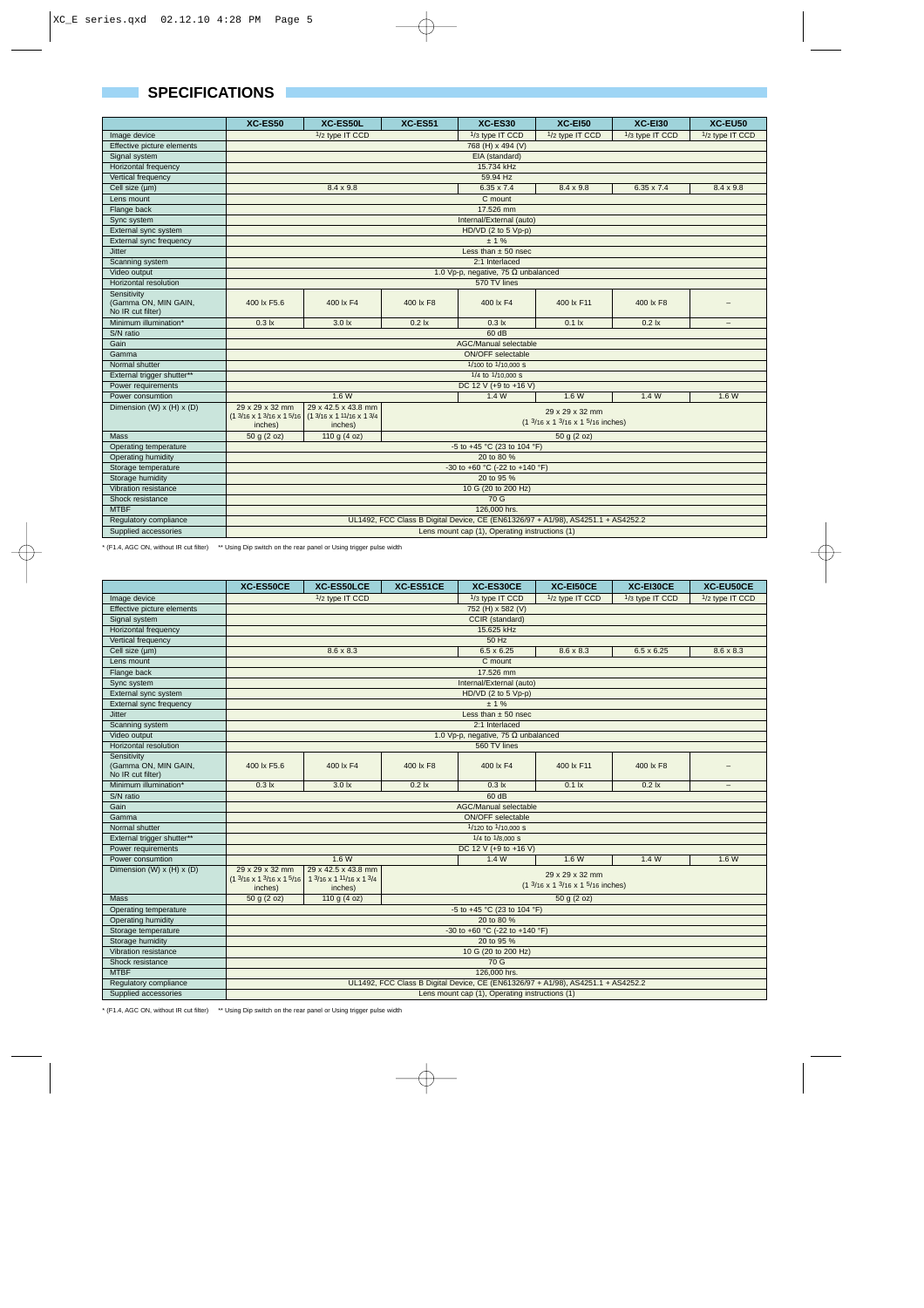### **SPECIFICATIONS**

|                                           | <b>XC-ES50</b>                                                                                                          | XC-ES50L            | <b>XC-ES51</b>   | XC-ES30                                    | <b>XC-E150</b>                                                                                   | <b>XC-E130</b>     | XC-EU50                  |
|-------------------------------------------|-------------------------------------------------------------------------------------------------------------------------|---------------------|------------------|--------------------------------------------|--------------------------------------------------------------------------------------------------|--------------------|--------------------------|
| Image device                              | 1/2 type IT CCD                                                                                                         |                     |                  | 1/3 type IT CCD                            | 1/2 type IT CCD                                                                                  | 1/3 type IT CCD    | 1/2 type IT CCD          |
| Effective picture elements                |                                                                                                                         | 768 (H) x 494 (V)   |                  |                                            |                                                                                                  |                    |                          |
| Signal system                             |                                                                                                                         |                     |                  | EIA (standard)                             |                                                                                                  |                    |                          |
| Horizontal frequency                      |                                                                                                                         |                     |                  | 15.734 kHz                                 |                                                                                                  |                    |                          |
| Vertical frequency                        |                                                                                                                         |                     |                  | 59.94 Hz                                   |                                                                                                  |                    |                          |
| Cell size (um)                            |                                                                                                                         | $8.4 \times 9.8$    |                  | $6.35 \times 7.4$                          | $8.4 \times 9.8$                                                                                 | $6.35 \times 7.4$  | $8.4 \times 9.8$         |
| Lens mount                                |                                                                                                                         |                     |                  | C mount                                    |                                                                                                  |                    |                          |
| Flange back                               |                                                                                                                         |                     |                  | 17,526 mm                                  |                                                                                                  |                    |                          |
| Sync system                               |                                                                                                                         |                     |                  | Internal/External (auto)                   |                                                                                                  |                    |                          |
| External sync system                      |                                                                                                                         |                     |                  | HD/VD (2 to 5 Vp-p)                        |                                                                                                  |                    |                          |
| External sync frequency                   |                                                                                                                         |                     |                  | ± 1%                                       |                                                                                                  |                    |                          |
| <b>Jitter</b>                             |                                                                                                                         |                     |                  | Less than $\pm$ 50 nsec                    |                                                                                                  |                    |                          |
| Scanning system                           |                                                                                                                         |                     |                  | 2:1 Interlaced                             |                                                                                                  |                    |                          |
| Video output                              |                                                                                                                         |                     |                  | 1.0 Vp-p, negative, 75 $\Omega$ unbalanced |                                                                                                  |                    |                          |
| Horizontal resolution                     |                                                                                                                         |                     |                  | 570 TV lines                               |                                                                                                  |                    |                          |
| Sensitivity                               |                                                                                                                         |                     |                  |                                            |                                                                                                  |                    |                          |
| (Gamma ON, MIN GAIN,<br>No IR cut filter) | 400 lx F5.6                                                                                                             | 400 lx F4           | 400 lx F8        | 400 lx F4                                  | 400 lx F11                                                                                       | 400 lx F8          | $\qquad \qquad -$        |
| Minimum illumination*                     | $0.3$ $\mathsf{lx}$                                                                                                     | 3.0 <sub>ix</sub>   | 0.2 <sub>k</sub> | $0.3$ $\mathsf{lx}$                        | $0.1$ $\mathsf{lx}$                                                                              | $0.2$ $\mathsf{k}$ | $\overline{\phantom{m}}$ |
| S/N ratio                                 |                                                                                                                         |                     |                  | 60 dB                                      |                                                                                                  |                    |                          |
| Gain                                      | AGC/Manual selectable                                                                                                   |                     |                  |                                            |                                                                                                  |                    |                          |
| Gamma                                     | <b>ON/OFF</b> selectable                                                                                                |                     |                  |                                            |                                                                                                  |                    |                          |
| Normal shutter                            | 1/100 to 1/10,000 s                                                                                                     |                     |                  |                                            |                                                                                                  |                    |                          |
| External trigger shutter**                |                                                                                                                         |                     |                  | 1/4 to 1/10,000 s                          |                                                                                                  |                    |                          |
| Power requirements                        | DC 12 V (+9 to +16 V)                                                                                                   |                     |                  |                                            |                                                                                                  |                    |                          |
| Power consumtion                          | 1.4W<br>1.6W<br>1.4W<br>1.6W                                                                                            |                     |                  |                                            | 1.6W                                                                                             |                    |                          |
| Dimension (W) $x$ (H) $x$ (D)             | 29 x 29 x 32 mm                                                                                                         | 29 x 42.5 x 43.8 mm |                  |                                            |                                                                                                  |                    |                          |
|                                           | $(1\frac{3}{16} \times 1\frac{3}{16} \times 1\frac{5}{16})$ (1 $\frac{3}{16} \times 1\frac{11}{16} \times 1\frac{3}{4}$ |                     |                  |                                            | 29 x 29 x 32 mm<br>$(1 \frac{3}{16} \times 1 \frac{3}{16} \times 1 \frac{5}{16} \text{ inches})$ |                    |                          |
|                                           | inches)                                                                                                                 | inches)             |                  |                                            |                                                                                                  |                    |                          |
| Mass                                      | 50 g (2 oz)<br>110 g $(4 oz)$<br>50 g (2 oz)                                                                            |                     |                  |                                            |                                                                                                  |                    |                          |
| Operating temperature                     | -5 to +45 °C (23 to 104 °F)                                                                                             |                     |                  |                                            |                                                                                                  |                    |                          |
| Operating humidity                        | 20 to 80 %                                                                                                              |                     |                  |                                            |                                                                                                  |                    |                          |
| Storage temperature                       | -30 to +60 °C (-22 to +140 °F)                                                                                          |                     |                  |                                            |                                                                                                  |                    |                          |
| Storage humidity                          | 20 to 95 %                                                                                                              |                     |                  |                                            |                                                                                                  |                    |                          |
| Vibration resistance                      | 10 G (20 to 200 Hz)                                                                                                     |                     |                  |                                            |                                                                                                  |                    |                          |
| Shock resistance                          | 70 G                                                                                                                    |                     |                  |                                            |                                                                                                  |                    |                          |
| <b>MTBF</b>                               | 126,000 hrs.                                                                                                            |                     |                  |                                            |                                                                                                  |                    |                          |
| Regulatory compliance                     | UL1492, FCC Class B Digital Device, CE (EN61326/97 + A1/98), AS4251.1 + AS4252.2                                        |                     |                  |                                            |                                                                                                  |                    |                          |
| Supplied accessories                      | Lens mount cap (1), Operating instructions (1)                                                                          |                     |                  |                                            |                                                                                                  |                    |                          |

\* (F1.4, AGC ON, without IR cut filter) \*\* Using Dip switch on the rear panel or Using trigger pulse width

|                                    | XC-ES50CE                                                                        | XC-ES50LCE               | XC-ES51CE          | XC-ES30CE                                                                     | XC-EI50CE        | XC-EI30CE          | XC-EU50CE                |
|------------------------------------|----------------------------------------------------------------------------------|--------------------------|--------------------|-------------------------------------------------------------------------------|------------------|--------------------|--------------------------|
| Image device                       |                                                                                  | 1/2 type IT CCD          |                    | 1/3 type IT CCD                                                               | 1/2 type IT CCD  | 1/3 type IT CCD    | 1/2 type IT CCD          |
| Effective picture elements         |                                                                                  |                          |                    | 752 (H) x 582 (V)                                                             |                  |                    |                          |
| Signal system                      |                                                                                  |                          |                    | CCIR (standard)                                                               |                  |                    |                          |
| Horizontal frequency               |                                                                                  |                          |                    | 15.625 kHz                                                                    |                  |                    |                          |
| Vertical frequency                 |                                                                                  |                          |                    | 50 Hz                                                                         |                  |                    |                          |
| Cell size (um)                     |                                                                                  | $8.6 \times 8.3$         |                    | $6.5 \times 6.25$                                                             | $8.6 \times 8.3$ | $6.5 \times 6.25$  | $8.6 \times 8.3$         |
| Lens mount                         |                                                                                  |                          |                    | C mount                                                                       |                  |                    |                          |
| Flange back                        |                                                                                  |                          |                    | 17,526 mm                                                                     |                  |                    |                          |
| Sync system                        |                                                                                  |                          |                    | Internal/External (auto)                                                      |                  |                    |                          |
| External sync system               |                                                                                  |                          |                    | $HD/VD$ (2 to 5 Vp-p)                                                         |                  |                    |                          |
| External sync frequency            |                                                                                  |                          |                    | ± 1%                                                                          |                  |                    |                          |
| <b>Jitter</b>                      |                                                                                  |                          |                    | Less than $\pm$ 50 nsec                                                       |                  |                    |                          |
| Scanning system                    |                                                                                  |                          |                    | 2:1 Interlaced                                                                |                  |                    |                          |
| Video output                       |                                                                                  |                          |                    | 1.0 Vp-p, negative, 75 $\Omega$ unbalanced                                    |                  |                    |                          |
| Horizontal resolution              |                                                                                  |                          |                    | 560 TV lines                                                                  |                  |                    |                          |
| Sensitivity                        |                                                                                  |                          |                    |                                                                               |                  |                    |                          |
| (Gamma ON, MIN GAIN,               | 400 lx F5.6                                                                      | 400 lx F4                | 400 lx F8          | 400 lx F4                                                                     | 400 lx F11       | 400 lx F8          |                          |
| No IR cut filter)                  |                                                                                  |                          |                    |                                                                               |                  |                    |                          |
| Minimum illumination*<br>S/N ratio | $0.3$ $\mathsf{lx}$                                                              | 3.0 k                    | $0.2$ $\mathsf{k}$ | $0.3$ $\mathsf{lx}$<br>60 dB                                                  | $0.1$ Ix         | $0.2$ $\mathsf{k}$ | $\overline{\phantom{m}}$ |
| Gain                               |                                                                                  |                          |                    |                                                                               |                  |                    |                          |
| Gamma                              |                                                                                  | AGC/Manual selectable    |                    |                                                                               |                  |                    |                          |
| Normal shutter                     | <b>ON/OFF</b> selectable<br>1/120 to 1/10,000 s                                  |                          |                    |                                                                               |                  |                    |                          |
| External trigger shutter**         | 1/4 to 1/8,000 S                                                                 |                          |                    |                                                                               |                  |                    |                          |
| Power requirements                 |                                                                                  |                          |                    | DC 12 V (+9 to +16 V)                                                         |                  |                    |                          |
| Power consumtion                   | 1.6 W<br>1.4 W<br>1.6 W<br>1.4 W                                                 |                          |                    |                                                                               | 1.6 W            |                    |                          |
| Dimension (W) $x$ (H) $x$ (D)      | 29 x 29 x 32 mm                                                                  | 29 x 42.5 x 43.8 mm      |                    |                                                                               |                  |                    |                          |
|                                    | $(13/16 \times 13/16 \times 15/16)$                                              | 1 3/16 x 1 11/16 x 1 3/4 |                    |                                                                               | 29 x 29 x 32 mm  |                    |                          |
|                                    | inches)                                                                          | inches)                  |                    | $(1 \frac{3}{16} \times 1 \frac{3}{16} \times 1 \frac{5}{16} \text{ inches})$ |                  |                    |                          |
| Mass                               | 50 g (2 oz)<br>110 g $(4 oz)$<br>50 g (2 oz)                                     |                          |                    |                                                                               |                  |                    |                          |
| Operating temperature              | -5 to +45 °C (23 to 104 °F)                                                      |                          |                    |                                                                               |                  |                    |                          |
| Operating humidity                 | 20 to 80 %                                                                       |                          |                    |                                                                               |                  |                    |                          |
| Storage temperature                | -30 to +60 °C (-22 to +140 °F)                                                   |                          |                    |                                                                               |                  |                    |                          |
| Storage humidity                   | 20 to 95 %                                                                       |                          |                    |                                                                               |                  |                    |                          |
| Vibration resistance               | 10 G (20 to 200 Hz)                                                              |                          |                    |                                                                               |                  |                    |                          |
| Shock resistance                   | 70 G                                                                             |                          |                    |                                                                               |                  |                    |                          |
| <b>MTBF</b>                        | 126,000 hrs.                                                                     |                          |                    |                                                                               |                  |                    |                          |
| Regulatory compliance              | UL1492, FCC Class B Digital Device, CE (EN61326/97 + A1/98), AS4251.1 + AS4252.2 |                          |                    |                                                                               |                  |                    |                          |
| Supplied accessories               | Lens mount cap (1), Operating instructions (1)                                   |                          |                    |                                                                               |                  |                    |                          |

\* (F1.4, AGC ON, without IR cut filter) \*\* Using Dip switch on the rear panel or Using trigger pulse width